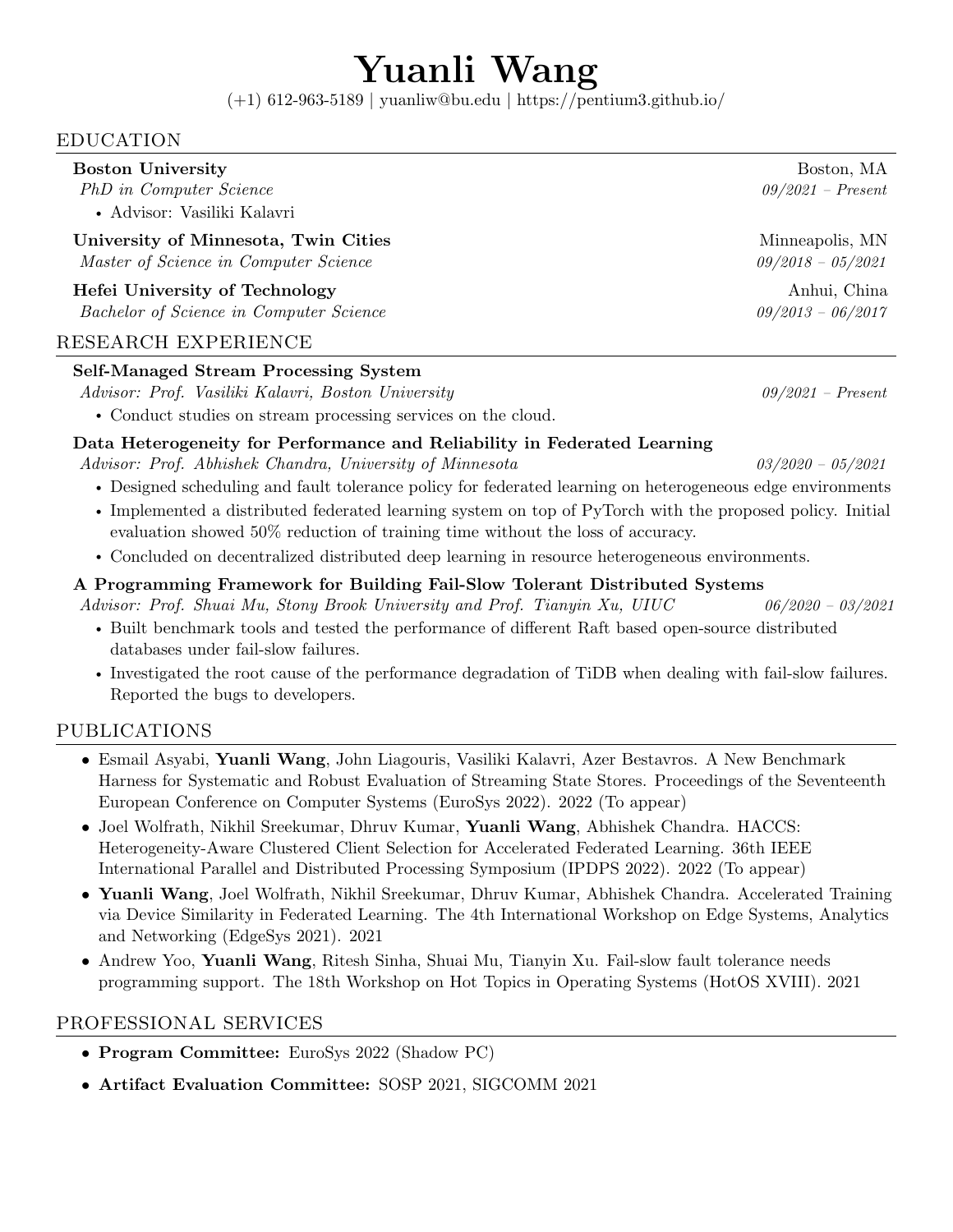# Yuanli Wang

(+1) 612-963-5189 | [yuanliw@bu.edu](mailto:yuanliw@bu.edu) | <https://pentium3.github.io/>

### EDUCATION

| <b>Boston University</b>                      | Boston, MA          |
|-----------------------------------------------|---------------------|
| PhD in Computer Science                       | $09/2021$ – Present |
| • Advisor: Vasiliki Kalavri                   |                     |
| University of Minnesota, Twin Cities          | Minneapolis, MN     |
| Master of Science in Computer Science         | $09/2018 - 05/2021$ |
| Hefei University of Technology                | Anhui, China        |
| Bachelor of Science in Computer Science       | $09/2013 - 06/2017$ |
| RESEARCH EXPERIENCE                           |                     |
| $C \cdot I C \cdot M$ $C \cdot I$ $C \cdot I$ |                     |

## Self-Managed Stream Processing System

Advisor: Prof. Vasiliki Kalavri, Boston University 09/2021 – Present

• Conduct studies on stream processing services on the cloud.

#### Data Heterogeneity for Performance and Reliability in Federated Learning

Advisor: Prof. Abhishek Chandra, University of Minnesota 03/2020 – 05/2021

- Designed scheduling and fault tolerance policy for federated learning on heterogeneous edge environments
- Implemented a distributed federated learning system on top of PyTorch with the proposed policy. Initial evaluation showed 50% reduction of training time without the loss of accuracy.
- Concluded on decentralized distributed deep learning in resource heterogeneous environments.

#### A Programming Framework for Building Fail-Slow Tolerant Distributed Systems

Advisor: Prof. Shuai Mu, Stony Brook University and Prof. Tianyin Xu, UIUC 06/2020 – 03/2021

- Built benchmark tools and tested the performance of different Raft based open-source distributed databases under fail-slow failures.
- Investigated the root cause of the performance degradation of TiDB when dealing with fail-slow failures. Reported the bugs to developers.

## PUBLICATIONS

- Esmail Asyabi, Yuanli Wang, John Liagouris, Vasiliki Kalavri, Azer Bestavros. A New Benchmark Harness for Systematic and Robust Evaluation of Streaming State Stores. Proceedings of the Seventeenth European Conference on Computer Systems (EuroSys 2022). 2022 (To appear)
- Joel Wolfrath, Nikhil Sreekumar, Dhruv Kumar, Yuanli Wang, Abhishek Chandra. HACCS: Heterogeneity-Aware Clustered Client Selection for Accelerated Federated Learning. 36th IEEE International Parallel and Distributed Processing Symposium (IPDPS 2022). 2022 (To appear)
- Yuanli Wang, Joel Wolfrath, Nikhil Sreekumar, Dhruv Kumar, Abhishek Chandra. Accelerated Training via Device Similarity in Federated Learning. The 4th International Workshop on Edge Systems, Analytics and Networking (EdgeSys 2021). 2021
- Andrew Yoo, Yuanli Wang, Ritesh Sinha, Shuai Mu, Tianyin Xu. Fail-slow fault tolerance needs programming support. The 18th Workshop on Hot Topics in Operating Systems (HotOS XVIII). 2021

#### PROFESSIONAL SERVICES

- Program Committee: EuroSys 2022 (Shadow PC)
- Artifact Evaluation Committee: SOSP 2021, SIGCOMM 2021